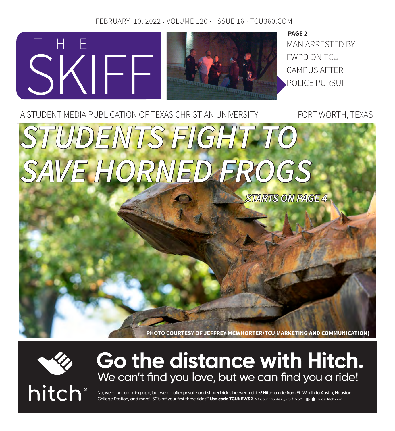### FEBRUARY 10, 2022 . VOLUME 120 · ISSUE 16 · TCU360.COM



MAN ARRESTED BY FWPD ON TCU CAMPUS AFTER POLICE PURSUIT **PAGE 2**

A STUDENT MEDIA PUBLICATION OF TEXAS CHRISTIAN UNIVERSITY FORT WORTH, TEXAS *STUDENTS FIGHT TO SAVE HORNED FROGS STARTS ON PAGE 4*

**PHOTO COURTESY OF JEFFREY MCWHORTER/TCU MARKETING AND COMMUNICATION)**



# **Go the distance with Hitch.** We can't find you love, but we can find you a ride!



No, we're not a dating app, but we do offer private and shared rides between cities! Hitch a ride from Ft. Worth to Austin, Houston, College Station, and more! 50% off your first three rides!\* Use code TCUNEWS2. *\*Discount applies up to \$25 off*  $\bullet$  **(** RideHitch.com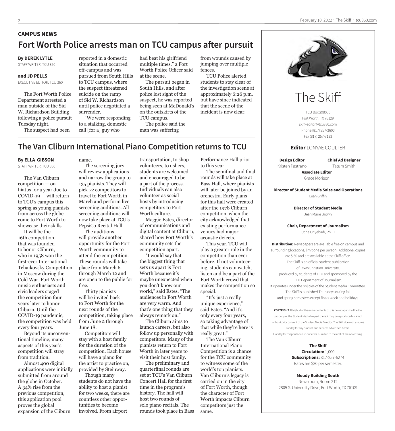### **CAMPUS NEWS Fort Worth Police arrests man on TCU campus after pursuit**

#### **By DEREK LYTLE**

STAFF WRITER, TCU 360

#### **and JD PELLS**

EXECUTIVE EDITOR, TCU 360

The Fort Worth Police Department arrested a man outside of the Sid W. Richardson Building following a police pursuit Tuesday night.

The suspect had been

reported in a domestic situation that occurred off-campus and was pursued from South Hills to TCU campus, where the suspect threatened suicide on the ramp of Sid W. Richardson until police negotiated a surrender. "We were responding

to a stalking, domestic call [for a] guy who

had beat his girlfriend multiple times," a Fort Worth Police Officer said at the scene.

The pursuit began in South Hills, and after police lost sight of the suspect, he was reported being seen at McDonald's on the outskirts of the TCU campus.

The police said the man was suffering

from wounds caused by jumping over multiple fences.

TCU Police alerted students to stay clear of the investigation scene at approximately 6:26 p.m. but have since indicated that the scene of the incident is now clear.

### **The Van Cliburn International Piano Competition returns to TCU**

#### **By ELLA GIBSON**

STAFF WRITER, TCU 360

The Van Cliburn competition — on hiatus for a year due to COVID-19 — will return to TCU's campus this spring as young pianists from across the globe come to Fort Worth to showcase their skills.

It will be the 16th competition that was founded to honor Cliburn, who in 1958 won the first-ever International Tchaikovsky Competition in Moscow during the Cold War. Fort Worth music enthusiasts and civic leaders staged the competition four years later to honor Cliburn. Until the COVID-19 pandemic, the competition was held every four years.

Beyond its unconventional timeline, many aspects of this year's competition will stray from tradition.

Almost 400 digital applications were initially submitted from around the globe in October. A 34% rise from the previous competition, this application pool proves the global expansion of the Cliburn

name.

The screening jury will review applications and narrow the group to 135 pianists. They will pick 72 competitors to travel to Fort Worth in March and perform live screening auditions. All screening auditions will now take place at TCU's PepsiCo Recital Hall.

The auditions will provide another opportunity for the Fort Worth community to attend the competition. These rounds will take place from March 6 through March 12 and are open to the public for free.

Thirty pianists will be invited back to Fort Worth for the next rounds of the competition, taking place from June 2 through June 18.

Competitors will stay with a host family for the duration of the competition. Each house will have a piano for the artist to practice on, provided by Steinway.

Though many students do not have the ability to host a pianist for two weeks, there are countless other opportunities to become involved. From airport

transportation, to shop volunteers, to ushers, students are welcomed and encouraged to be a part of the process. Individuals can also volunteer as social hosts by introducing competitors to Fort Worth culture.

Maggie Estes, director of communications and digital content at Cliburn, shared how Fort Worth's community sets the competition apart.

"I would say that the biggest thing that sets us apart is Fort Worth because it's maybe unexpected when you don't know our world," said Estes. "The audiences in Fort Worth are very warm. And that's one thing that they always remark on."

The Cliburn aims to launch careers, but also follow up personally with competitors. Many of the pianists return to Fort Worth in later years to visit their host family.

The preliminary and quarterfinal rounds are set at TCU's Van Cliburn Concert Hall for the first time in the program's history. The hall will host two rounds of solo piano recitals. The rounds took place in Bass Performance Hall prior to this year.

The semifinal and final rounds will take place at Bass Hall, where pianists will later be joined by an orchestra. Early plans for this hall were created after the 1978 Cliburn competition, when the city acknowledged that existing performance venues had major acoustic defects.

This year, TCU will play a greater role in the competition than ever before. If not volunteering, students can watch, listen and be a part of the Fort Worth crowd that makes the competition so special.

"It's just a really unique experience," said Estes. "And it's only every four years, so taking advantage of that while they're here is really great."

The Van Cliburn International Piano Competition is a chance for the TCU community to witness some of the world's top pianists. Van Cliburn's legacy is carried on in the city of Fort Worth, though the character of Fort Worth impacts Cliburn competitors just the same.



# The Skiff

TCU Box 298050 Fort Worth, TX 76129 skiff-editor@tcu360.com Phone (817) 257-3600 Fax (817) 257-7133

#### **Editor** LONYAE COULTER

**Design Editor** Kristen Pastrano **Chief Ad Designer** Tatum Smith

**Associate Editor** Grace Morison

**Director of Student Media Sales and Operations** Leah Griffin

> **Director of Student Media** Jean Marie Brown

#### **Chair, Department of Journalism**

Uche Onyebadi, Ph. D

**Distribution:** Newspapers are available free on campus and surrounding locations, limit one per person. Additional copies are \$.50 and are available at the Skiff office. The Skiff is an official student publication of Texas Christian University, produced by students of TCU and sponsored by the TCU Department of Journalism. It operates under the policies of the Student Media Committee. The Skiff is published Thursdays during fall and spring semesters except finals week and holidays.

**COPYRIGHT** All rights for the entire contents of this newspaper shall be the property of the Student Media.No part thereof may be reproduced or aired without prior consent of the Student Media Director. The Skiff does not assume liability for any product and services advertised herein. Liability for misprints due to our error is limited to the cost of the advertising.

> **The Skiff Circulation:** 1,000 **Subscriptions:** 817-257-6274 Rates are \$30 per semester.

**Moudy Building South** Newsroom, Room 212 2805 S. University Drive, Fort Worth, TX 76109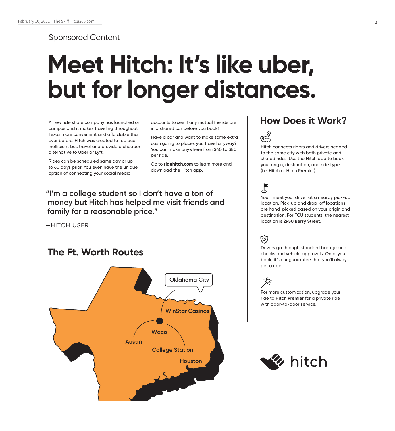Sponsored Content

# **Meet Hitch: It's like uber, but for longer distances.**

A new ride share company has launched on campus and it makes traveling throughout Texas more convenient and affordable than ever before. Hitch was created to replace inefficient bus travel and provide a cheaper alternative to Uber or Lyft.

Rides can be scheduled same day or up to 60 days prior. You even have the unique option of connecting your social media

accounts to see if any mutual friends are in a shared car before you book!

Have a car and want to make some extra cash going to places you travel anyway? You can make anywhere from \$40 to \$80 per ride.

Go to **ridehitch.com** to learn more and download the Hitch app.

**"I'm a college student so I don't have a ton of money but Hitch has helped me visit friends and family for a reasonable price."**

—HITCH USER

### **The Ft. Worth Routes**



### **How Does it Work?**



Hitch connects riders and drivers headed to the same city with both private and shared rides. Use the Hitch app to book your origin, destination, and ride type. (i.e. Hitch or Hitch Premier)

# ၂

You'll meet your driver at a nearby pick-up location. Pick-up and drop-off locations are hand-picked based on your origin and destination. For TCU students, the nearest location is **2950 Berry Street**.

# ত্য

Drivers go through standard background checks and vehicle approvals. Once you book, it's our guarantee that you'll always get a ride.



For more customization, upgrade your ride to **Hitch Premier** for a private ride with door-to-door service.

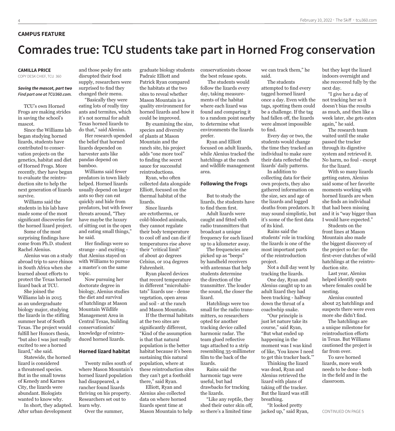#### **CAMPUS FEATURE**

# **Comrades true: TCU students take part in Horned Frog conservation**

#### **CAMILLA PRICE**

COPY DESK CHIEF, TCU 360

#### *Saving the mascot, part two Find part one at TCU360.com.*

TCU's own Horned Frogs are making strides in saving the school's mascot.

Since the Williams lab began studying horned lizards, students have contributed to conservation projects on the genetics, habitat and diet of Horned Frogs. More recently, they have begun to evaluate the reintroduction site to help the next generation of lizards survive.

Williams said the students in his lab have made some of the most significant discoveries for the horned lizard project.

Some of the most surprising findings have come from Ph.D. student Rachel Alenius.

Alenius was on a study abroad trip to save rhinos in South Africa when she learned about efforts to protect the Texas horned lizard back at TCU.

She joined the Williams lab in 2015 as an undergraduate biology major, studying the lizards in the stifling summer heat of South Texas. The project would fulfill her Honors thesis, "but also I was just really excited to see a horned lizard," she said.

Statewide, the horned lizard is considered a threatened species. But in the small towns of Kenedy and Karnes City, the lizards were abundant. Biologists wanted to know why.

In short, they adapted. After urban development

and those pesky fire ants disrupted their food supply, researchers were surprised to find they changed their menu.

"Basically they were eating lots of really tiny ants and termites, which it's not normal for adult Texas horned lizards to do that," said Alenius.

Her research upended the belief that horned lizards depended on harvester ants like pandas depend on bamboo.

Williams said fewer predators in town likely helped. Horned lizards usually depend on larger ants so they can eat quickly and hide from predators, but with fewer threats around, "They have maybe the luxury of sitting out in the open and eating small things," he said.

Her findings were so strange - and exciting that Alenius stayed on with Williams to pursue a master's on the same topic.

Now pursuing her doctorate degree in biology, Alenius studies the diet and survival of hatchlings at Mason Mountain Wildlife Management Area in Central Texas, building conservationists' knowledge of reintroduced horned lizards.

#### **Horned lizard habitat**

Twenty miles south of where Mason Mountain's horned lizard population had disappeared, a rancher found lizards thriving on his property. Researchers set out to learn why.

Over the summer,

graduate biology students Padraic Elliott and Patrick Ryan compared the habitats at the two sites to reveal whether Mason Mountain is a quality environment for horned lizards and how it could be improved.

By examining the size, species and diversity of plants at Mason Mountain and the ranch site, his project adds "one more tool" to finding the secret sauce for successful reintroductions.

Ryan, who often collected data alongside Elliott, focused on the thermal habitat of the lizards.

Since lizards are ectotherms, or cold-blooded animals, they cannot regulate their body temperature to cool off and can die if temperatures rise above their "critical limit" of about 40 degrees Celsius, or 104 degrees Fahrenheit.

Ryan placed devices that record temperature in different "microhabitats" lizards use - dense vegetation, open areas and soil - at the ranch and Mason Mountain.

If the thermal habitats at the two sites are significantly different, "Kind of the assumption is that that natural population is the better habitat because it's been sustaining this natural population, where at these reintroduction sites they can't get a foothold there," said Ryan.

Elliott, Ryan and Alenius also collected data on where horned lizards spent time at Mason Mountain to help conservationists choose the best release spots.

 The students would follow the lizards every day, taking measurements of the habitat where each lizard was found and comparing it to a random point nearby to determine what environments the lizards prefer.

Ryan and Elliott focused on adult lizards, while Alenius tracked the hatchlings at the ranch and wildlife management area.

#### **Following the Frogs**

But to study the lizards, the students have to find them first.

Adult lizards were caught and fitted with radio transmitters that broadcast a unique frequency for each lizard up to a kilometer away.

The frequencies are picked up as "beeps" by handheld receivers with antennas that help students determine the direction of the transmitter. The louder the sound, the closer the lizard.

Hatchlings were too small for the radio transmitters, so researchers opted for another tracking device called harmonic radar. The team glued reflective tags attached to a strip resembling 35-millimeter film to the back of the lizards.

Rains said the harmonic tags were useful, but had drawbacks for tracking the lizards.

"Like any reptile, they shed their outer skin off, so there's a limited time

we can track them," he said.

The students attempted to find every tagged horned lizard once a day. Even with the tags, spotting them could be a challenge. If the tag had fallen off, the lizards were almost impossible to find.

Every day or two, the students would change the time they tracked an individual to make sure their data reflected the lizards' daily patterns. In addition to

collecting data for their own projects, they also gathered information on the size, sex and age of the lizards and logged deaths from predators. It may sound simplistic, but it's some of the first data of its kind.

Rains said the students' role in tracking the lizards is one of the most important parts of the reintroduction project.

Not a dull day went by tracking the lizards.

One day, Ryan and Alenius caught up to an adult lizard they had been tracking - halfway down the throat of a coachwhip snake.

"Our principle is just let nature take its course," said Ryan, "But what ended up happening in the moment was I was kind of like, 'You know I need to get this tracker back.'"

Thinking the lizard was dead, Ryan and Alenius retrieved the lizard with plans of taking off the tracker. But the lizard was still breathing.

"It looked pretty jacked up," said Ryan, but they kept the lizard indoors overnight and she recovered fully by the next day.

"I give her a day of not tracking her so it doesn't bias the results as much, and then like a week later, she gets eaten again," he said.

The research team waited until the snake passed the tracker through its digestive system and retrieved it. No harm, no foul - except for the lizard.

With so many lizards getting eaten, Alenius said some of her favorite moments working with horned lizards are when she finds an individual that had been missing and it is "way bigger than I would have expected."

Students on the front lines at Mason Mountain also made the biggest discovery of the project so far: the first-ever clutches of wild hatchlings at the reintroduction site.

Last year, Alenius helped identify spots where females could be nesting.

Alenius counted about 25 hatchlings and suspects there were even more she didn't find.

The hatchlings are a unique milestone for reintroduction efforts in Texas. But Williams cautioned the project is far from over.

To save horned lizards, more work needs to be done - both in the field and in the classroom.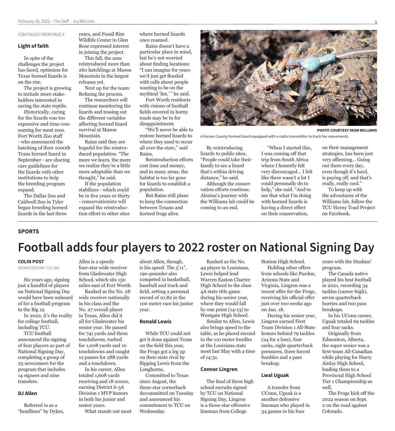#### CONTINUED FROM PAGE 4

#### **Light of faith**

In spite of the challenges the project has faced, optimism for Texas horned lizards is on the rise.

The project is growing to include more stakeholders interested in saving the state reptile.

Historically, caring for the lizards was too expensive and time-consuming for most zoos. Fort Worth Zoo staff - who announced the hatching of their 1000th Texas horned lizard in September - are sharing care guidelines for the lizards with other institutions to help the breeding program expand.

The Dallas Zoo and Caldwell Zoo in Tyler began breeding horned lizards in the last three

years, and Fossil Rim Wildlife Center in Glen Rose expressed interest in joining the project.

This fall, the zoos reintroduced more than 260 hatchlings at Mason Mountain in the largest releases yet.

Next up for the team: Refining the process.

The researchers will continue monitoring the lizards and teasing out the different variables affecting horned lizard survival at Mason Mountain.

Rains said they are hopeful for the reintroduced population. "The more we learn, the more we realize they're a little more adaptable than we thought," he said.

If the population stabilizes - which could be in five years or thirty - conservationists will expand the reintroduction effort to other sites where horned lizards once roamed.

Rains doesn't have a particular place in mind, but he's not worried about finding locations: "I can imagine for years we'd just get flooded with calls about people wanting to be on the mythical 'list,' " he said.

Fort Worth residents with visions of football fields covered in horny toads may be in for disappointment.

"We'll never be able to restore horned lizards to where they used to occur all over the state," said Rains.

Reintroduction efforts cost time and money, and in many areas, the habitat is too far gone for lizards to establish a population.

But Rains still plans to keep the connection between Texans and horned frogs alive.



**PHOTO COURTESY DEAN WILLIAMS**

A Karnes County horned lizard equipped with a radio transmitter to track her movements.

By reintroducing lizards to public sites, "People could take their family to see a lizard that's within driving distance," he said.

Although the conservation efforts continue, Alenius's journey with the Williams lab could be coming to an end.

"When I started this, I was coming off that trip from South Africa where I honestly felt very discouraged… I felt like there wasn't a lot I could personally do to help," she said. "And to see that what I'm doing with horned lizards is having a direct effect on their conservation,

on their management strategies, has been just very affirming… Going out there every day, even though it's hard, is paying off, and that's really, really cool."

To keep up with the adventures of the Williams lab, follow the TCU Horny Toad Project on Facebook.

#### **SPORTS**

# **Football adds four players to 2022 roster on National Signing Day**

#### **COLIN POST**

SPORTS EDITOR< TCU 360

Six years ago, signing just a handful of players on National Signing Day would have been unheard of for a football program in the Big 12.

In 2022, it's the reality for college football, including TCU.

TCU football announced the signing of four players as part of National Signing Day, completing a group of 23 newcomers for the program that includes 14 signees and nine transfers.

#### **DJ Allen**

Referred to as a "headliner" by Dykes,

Allen is a speedy four-star wide receiver from Gladewater High School, which sits 150 miles east of Fort Worth.

Ranked as the No. 28 wide receiver nationally in his class and the No. 27 overall player in Texas, Allen did it all for Gladewater his senior year. He passed for 741 yards and three touchdowns, rushed for 1,008 yards and 10 touchdowns and caught 12 passes for 288 yards and a touchdown.

In his career, Allen totaled 1,608 yards receiving and 18 scores, earning District 6-3A Division 1 MVP honors in both his junior and senior years.

What stands out most

about Allen, though, is his speed. The 5'11", 190-pounder also competed in basketball, baseball and track and field, setting a personal record of 10.82 in the 100 meter race his junior year.

#### **Ronald Lewis**

While TCU could not get it done against Texas on the field this year, the Frogs got a leg up on their state rival by flipping Lewis from the Longhorns.

Committed to Texas since August, the three-star cornerback decommitted on Tuesday and announced his commitment to TCU on Wednesday.

Ranked as the No. 44 player in Louisiana, Lewis helped lead Warren Easton Charter High School to the class 4A state title game during his senior year, where they would fall by one point (14-13) to Westgate High School. Similar to Allen, Lewis

also brings speed to the table, as he placed second in the 110 meter hurdles at the Louisiana state meet last May with a time of 14:31.

#### **Connor Lingren**

The final of three high school recruits signed by TCU on National Signing Day, Lingren is a three-star offensive lineman from College

Station High School.

Holding other offers from schools like Purdue, Arizona State and Virginia, Lingren was a recent offer for the Frogs, receiving his official offer just over two weeks ago on Jan. 18.

During his senior year, Lingren earned First Team Division 1 All-State honors behind 79 tackles (24 for a loss), four sacks, eight quarterback pressures, three forced fumbles and a pass breakup.

#### **Lwal Uguak**

A transfer from UConn, Uguak is a another defensive lineman who played in 34 games in his four

years with the Huskies' program.

The Canada native played his best football in 2021, recording 34 tackles (career-high), seven quarterback hurries and two pass breakups.

In his UConn career, Uguak totaled 69 tackles and four sacks.

Originally from Edmonton, Alberta, the super senior was a first-team All-Canadian while playing for Harry Ainlay High School, leading them to a Provincial High School Tier 1 Championship as well.

The Frogs kick off the 2022 season on Sept. 2 on the road against Colorado.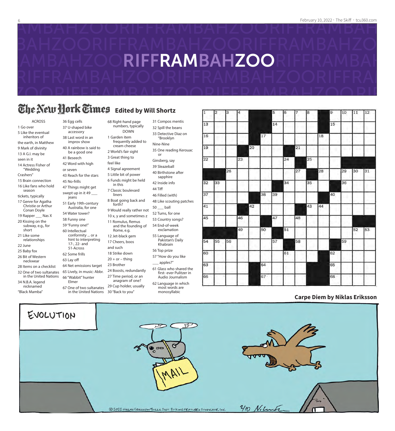

# **The New Hork Times** Edited by Will Shortz

68 Right-hand page numbers, typically DOWN

cream cheese 2 World's fair sight 3 Great thing to feel like

4 Signal agreement 5 Little bit of power 6 Funds might be held in this 7 Classic boulevard liners

8 Boat going back and forth?

9 Would really rather not 10 x, y and sometimes z 11 Romulus, Remus and the founding of Rome, e.g. 12 Jet-black gem 17 Cheers, boos and such 18 Strike down  $20 + or -$ thing 23 Brother

24 Boosts, redundantly

1 Garden item

ACROSS 1 Go over

5 Like the eventual inheritors of the earth, in Matthew 9 Mark of divinity

13 A G.I. may be seen in it

14 Actress Fisher of "Wedding

Crashers"

15 Brain connection 16 Like fans who hold

season

tickets, typically

17 Genre for Agatha Christie or Arthur

Conan Doyle 19 Rapper \_\_\_ Nas X

20 Kissing on the subway, e.g., for short

21 Like some relationships

22 June

25 Baby fox 26 Bit of Western

neckwear

28 Items on a checklist 32 One of two sultanates

in the United Nations 34 N.B.A. legend

nicknamed

"Black Mamba"

36 Egg cells 37 U-shaped bike accessory

38 Last word in an improv show

40 A rainbow is said to be a good one

41 Beseech 42 Word with high

or seven 43 Reach for the stars 45 No-frills

47 Things might get swept up in it 49 jeans 51 Early 19th-century Australia, for one

54 Water tower? 58 Funny one 59 "Funny one!" 60 Intellectual conformity ... or a hint to interpreting

17-, 22- and 51-Across 62 Some frills 63 Lay off

64 Net emissions target 65 Lively, in music: Abbr. 66 "Wabbit" hunter

Elmer

67 One of two sultanates 27 Time period, or an anagram of one? 29 Cup holder, usually

in the United Nations 30 "Back to you"

frequently added to 32 Spill the beans 33 Detective Diaz on "Brooklyn Nine-Nine 35 One reading Kerouac or

31 Compos mentis

Ginsberg, say 39 Sleazeball 40 Birthstone after

sapphire 42 Inside info

44 Tiff

46 Filled (with) 48 Like scouting patches

50 \_\_\_ ball 52 Tums, for one

53 Country songs? 54 End-of-week exclamation

55 Language of Pakistan's Daily Khabrain

56 Top prize

57 "How do you like \_ apples?"

61 Glass who shared the first- ever Pulitzer in Audio Journalism

62 Language in which most words are monosyllabic



#### **Carpe Diem by Niklas Eriksson**

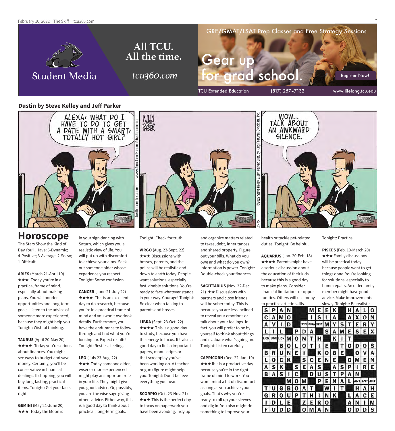February 10, 2022 · The Skiff · tcu360.com



#### **Dustin by Steve Kelley and Jeff Parker**



### **Horoscope**

The Stars Show the Kind of Day You'll Have: 5-Dynamic; 4-Positive; 3-Average; 2-So-so; 1-Difficult

**ARIES** (March 21-April 19) **★★★** Today you're in a practical frame of mind, especially about making plans. You will ponder opportunities and long-term goals. Listen to the advice of someone more experienced, because they might help you. Tonight: Wishful thinking.

**TAURUS** (April 20-May 20) **★★★★** Today you're serious about finances. You might see ways to budget and save money. Certainly, you'll be conservative in financial dealings. If shopping, you will buy long-lasting, practical items. Tonight: Get your facts right.

**GEMINI** (May 21-June 20) **★★★** Today the Moon is

in your sign dancing with Saturn, which gives you a realistic view of life. You will put up with discomfort to achieve your aims. Seek out someone older whose experience you respect. Tonight: Some confusion.

**CANCER** (June 21-July 22)  $\star \star \star \star$  This is an excellent day to do research, because you're in a practical frame of mind and you won't overlook details. Furthermore, you have the endurance to follow through and find what you're looking for. Expect results! Tonight: Restless feelings.

**LEO** (July 23-Aug. 22) **★★★** Today someone older, wiser or more experienced might play an important role in your life. They might give you good advice. Or, possibly, you are the wise sage giving others advice. Either way, this is a good day to think about practical, long-term goals.

Tonight: Check for truth.

**VIRGO** (Aug. 23-Sept. 22)  $\star \star \star$  Discussions with bosses, parents, and the police will be realistic and down to earth today. People want solutions, especially fast, doable solutions. You're ready to face whatever stands in your way. Courage! Tonight: Be clear when talking to parents and bosses.

**LIBRA** (Sept. 23-Oct. 22) **★★★★** This is a good day to study, because you have the energy to focus. It's also a good day to finish important papers, manuscripts or that screenplay you've been working on. A teacher or guru figure might help you. Tonight: Don't believe everything you hear.

**SCORPIO** (Oct. 23-Nov. 21)  $\star \star \star$  This is the perfect day to focus on paperwork you have been avoiding. Tidy up

and organize matters related to taxes, debt, inheritances and shared property. Figure out your bills. What do you owe and what do you own? Information is power. Tonight: Double-check your finances.

**SAGITTARIUS** (Nov. 22-Dec. 21)  $\star\star$  Discussions with partners and close friends will be sober today. This is because you are less inclined to reveal your emotions or talk about your feelings. In fact, you will prefer to be by yourself to think about things

**CAPRICORN** (Dec. 22-Jan. 19)  $\star \star \star$  Ihis is a productive day because you're in the right frame of mind to work. You won't mind a bit of discomfort as long as you achieve your goals. That's why you're ready to roll up your sleeves and dig in. You also might do something to improve your

and evaluate what's going on. Tonight: Listen carefully.

health or tackle pet-related duties. Tonight: Be helpful.

**AQUARIUS** (Jan. 20-Feb. 18) **★★★★** Parents might have a serious discussion about the education of their kids because this is a good day to make plans. Consider financial limitations or opportunities. Others will use today



M

O

U D D N

Tonight: Practice.

**PISCES** (Feb. 19-March 20)  $\star \star \star$  Family discussions will be practical today because people want to get things done. You're looking for solutions, especially to home repairs. An older family member might have good advice. Make improvements slowly. Tonight: Be realistic.

 $\overline{0}$